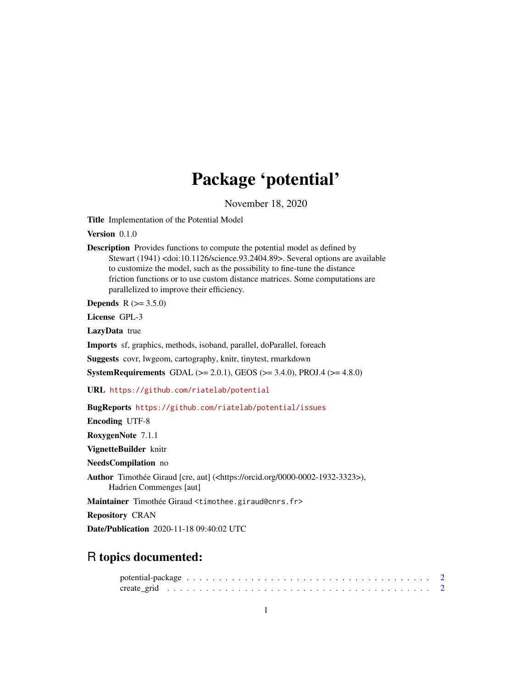# Package 'potential'

November 18, 2020

Title Implementation of the Potential Model

Version 0.1.0

Description Provides functions to compute the potential model as defined by Stewart (1941) <doi:10.1126/science.93.2404.89>. Several options are available to customize the model, such as the possibility to fine-tune the distance friction functions or to use custom distance matrices. Some computations are parallelized to improve their efficiency.

**Depends**  $R (= 3.5.0)$ 

License GPL-3

LazyData true

Imports sf, graphics, methods, isoband, parallel, doParallel, foreach

Suggests covr, lwgeom, cartography, knitr, tinytest, rmarkdown

SystemRequirements GDAL ( $>= 2.0.1$ ), GEOS ( $>= 3.4.0$ ), PROJ.4 ( $>= 4.8.0$ )

URL <https://github.com/riatelab/potential>

BugReports <https://github.com/riatelab/potential/issues>

Encoding UTF-8

RoxygenNote 7.1.1

VignetteBuilder knitr

NeedsCompilation no

Author Timothée Giraud [cre, aut] (<https://orcid.org/0000-0002-1932-3323>), Hadrien Commenges [aut]

Maintainer Timothée Giraud <timothee.giraud@cnrs.fr>

Repository CRAN

Date/Publication 2020-11-18 09:40:02 UTC

# R topics documented: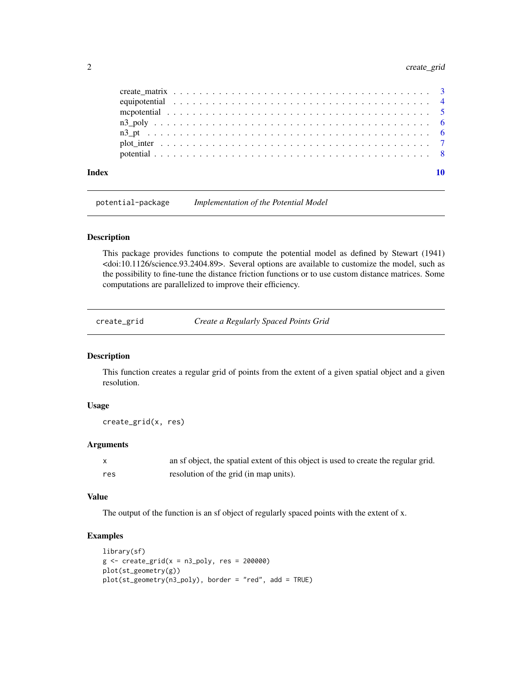# <span id="page-1-0"></span>2 create\_grid

| Index |  |
|-------|--|
|       |  |
|       |  |
|       |  |
|       |  |
|       |  |
|       |  |
|       |  |

potential-package *Implementation of the Potential Model*

## Description

This package provides functions to compute the potential model as defined by Stewart (1941) <doi:10.1126/science.93.2404.89>. Several options are available to customize the model, such as the possibility to fine-tune the distance friction functions or to use custom distance matrices. Some computations are parallelized to improve their efficiency.

create\_grid *Create a Regularly Spaced Points Grid*

#### Description

This function creates a regular grid of points from the extent of a given spatial object and a given resolution.

# Usage

create\_grid(x, res)

### Arguments

|     | an sf object, the spatial extent of this object is used to create the regular grid. |
|-----|-------------------------------------------------------------------------------------|
| res | resolution of the grid (in map units).                                              |

# Value

The output of the function is an sf object of regularly spaced points with the extent of x.

```
library(sf)
g \leftarrow \text{create\_grid}(x = n3\_poly, \text{res} = 200000)plot(st_geometry(g))
plot(st_geometry(n3_poly), border = "red", add = TRUE)
```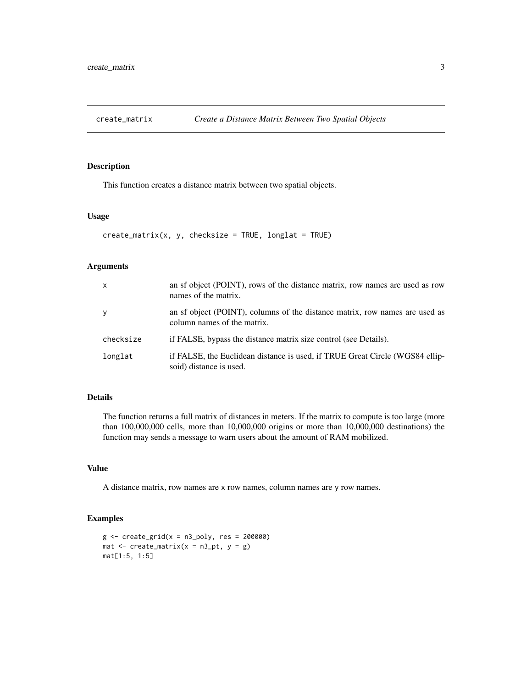<span id="page-2-0"></span>

This function creates a distance matrix between two spatial objects.

# Usage

```
create_matrix(x, y, checksize = TRUE, longlat = TRUE)
```
#### Arguments

| $\mathsf{x}$ | an sf object (POINT), rows of the distance matrix, row names are used as row<br>names of the matrix.       |
|--------------|------------------------------------------------------------------------------------------------------------|
| y            | an sf object (POINT), columns of the distance matrix, row names are used as<br>column names of the matrix. |
| checksize    | if FALSE, bypass the distance matrix size control (see Details).                                           |
| longlat      | if FALSE, the Euclidean distance is used, if TRUE Great Circle (WGS84 ellip-<br>soid) distance is used.    |

# Details

The function returns a full matrix of distances in meters. If the matrix to compute is too large (more than 100,000,000 cells, more than 10,000,000 origins or more than 10,000,000 destinations) the function may sends a message to warn users about the amount of RAM mobilized.

# Value

A distance matrix, row names are x row names, column names are y row names.

```
g \leftarrow \text{create\_grid}(x = n3\_poly, \text{res} = 200000)mat \leq create_matrix(x = n3_pt, y = g)
mat[1:5, 1:5]
```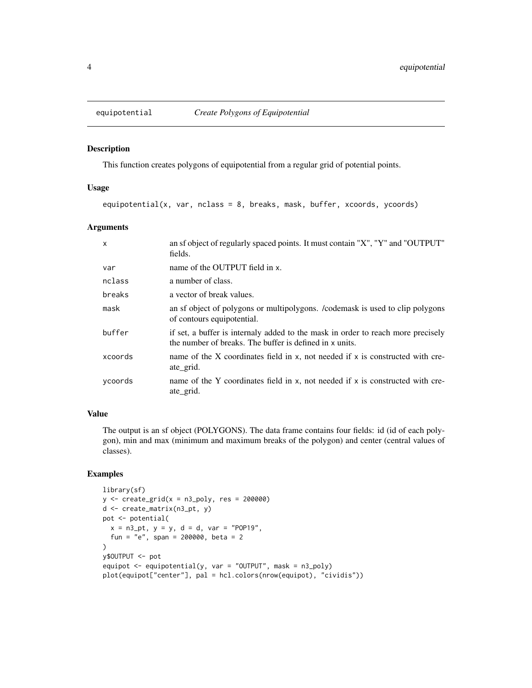<span id="page-3-0"></span>

This function creates polygons of equipotential from a regular grid of potential points.

#### Usage

equipotential(x, var, nclass = 8, breaks, mask, buffer, xcoords, ycoords)

#### Arguments

| an sf object of regularly spaced points. It must contain "X", "Y" and "OUTPUT"<br>fields.                                                   |
|---------------------------------------------------------------------------------------------------------------------------------------------|
| name of the OUTPUT field in x.                                                                                                              |
| a number of class.                                                                                                                          |
| a vector of break values.                                                                                                                   |
| an sf object of polygons or multipolygons. /codemask is used to clip polygons<br>of contours equipotential.                                 |
| if set, a buffer is internaly added to the mask in order to reach more precisely<br>the number of breaks. The buffer is defined in x units. |
| name of the X coordinates field in x, not needed if x is constructed with cre-<br>ate grid.                                                 |
| name of the Y coordinates field in x, not needed if x is constructed with cre-<br>ate grid.                                                 |
|                                                                                                                                             |

# Value

The output is an sf object (POLYGONS). The data frame contains four fields: id (id of each polygon), min and max (minimum and maximum breaks of the polygon) and center (central values of classes).

```
library(sf)
y \le - create_grid(x = n3_poly, res = 200000)
d <- create_matrix(n3_pt, y)
pot <- potential(
  x = n3 pt, y = y, d = d, var = "POP19",fun = "e", span = 200000, beta = 2)
y$OUTPUT <- pot
equipot \leq equipotential(y, var = "OUTPUT", mask = n3_poly)
plot(equipot["center"], pal = hcl.colors(nrow(equipot), "cividis"))
```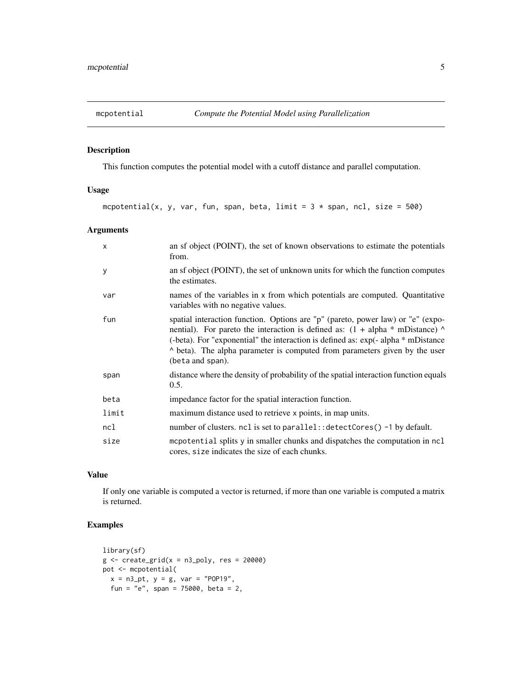<span id="page-4-0"></span>

This function computes the potential model with a cutoff distance and parallel computation.

## Usage

mcpotential(x, y, var, fun, span, beta, limit =  $3 * span$ , ncl, size = 500)

# Arguments

| $\times$ | an sf object (POINT), the set of known observations to estimate the potentials<br>from.                                                                                                                                                                                                                                                                  |
|----------|----------------------------------------------------------------------------------------------------------------------------------------------------------------------------------------------------------------------------------------------------------------------------------------------------------------------------------------------------------|
| y        | an sf object (POINT), the set of unknown units for which the function computes<br>the estimates.                                                                                                                                                                                                                                                         |
| var      | names of the variables in x from which potentials are computed. Quantitative<br>variables with no negative values.                                                                                                                                                                                                                                       |
| fun      | spatial interaction function. Options are "p" (pareto, power law) or "e" (expo-<br>nential). For pareto the interaction is defined as: $(1 + alpha * mDistance)$ ^<br>(-beta). For "exponential" the interaction is defined as: exp(-alpha * mDistance<br>^ beta). The alpha parameter is computed from parameters given by the user<br>(beta and span). |
| span     | distance where the density of probability of the spatial interaction function equals<br>0.5.                                                                                                                                                                                                                                                             |
| beta     | impedance factor for the spatial interaction function.                                                                                                                                                                                                                                                                                                   |
| limit    | maximum distance used to retrieve x points, in map units.                                                                                                                                                                                                                                                                                                |
| ncl      | number of clusters. ncl is set to parallel:: detectCores() -1 by default.                                                                                                                                                                                                                                                                                |
| size     | mcpotential splits y in smaller chunks and dispatches the computation in ncl<br>cores, size indicates the size of each chunks.                                                                                                                                                                                                                           |

# Value

If only one variable is computed a vector is returned, if more than one variable is computed a matrix is returned.

```
library(sf)
g \leftarrow \text{create\_grid}(x = n3\_poly, \text{res} = 20000)pot <- mcpotential(
  x = n3_{pt}, y = g, var = "POP19",fun = "e", span = 75000, beta = 2,
```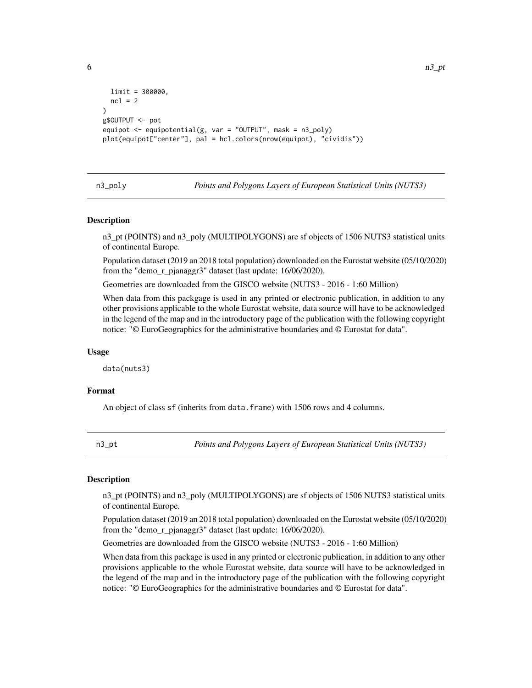<span id="page-5-0"></span> $\overline{a}$  n3\_pt n3\_pt n3\_pt n3\_pt n3\_pt n3\_pt n3\_pt n3\_pt n3\_pt n3\_pt n3\_pt n3\_pt n3\_pt n3\_pt n3\_pt n3\_pt n3\_pt n3\_pt n3\_pt n3\_pt n3\_pt n3\_pt n3\_pt n3\_pt n3\_pt n3\_pt n3\_pt n3\_pt n3\_pt n3\_pt n3\_pt n3\_pt n3\_pt n3\_pt n3\_pt n3

```
limit = 300000,
 ncl = 2)
g$OUTPUT <- pot
equipot <- equipotential(g, var = "OUTPUT", mask = n3_poly)
plot(equipot["center"], pal = hcl.colors(nrow(equipot), "cividis"))
```
n3\_poly *Points and Polygons Layers of European Statistical Units (NUTS3)*

#### Description

n3\_pt (POINTS) and n3\_poly (MULTIPOLYGONS) are sf objects of 1506 NUTS3 statistical units of continental Europe.

Population dataset (2019 an 2018 total population) downloaded on the Eurostat website (05/10/2020) from the "demo\_r\_pjanaggr3" dataset (last update: 16/06/2020).

Geometries are downloaded from the GISCO website (NUTS3 - 2016 - 1:60 Million)

When data from this packgage is used in any printed or electronic publication, in addition to any other provisions applicable to the whole Eurostat website, data source will have to be acknowledged in the legend of the map and in the introductory page of the publication with the following copyright notice: "© EuroGeographics for the administrative boundaries and © Eurostat for data".

#### Usage

data(nuts3)

## Format

An object of class sf (inherits from data.frame) with 1506 rows and 4 columns.

n3\_pt *Points and Polygons Layers of European Statistical Units (NUTS3)*

## **Description**

n3\_pt (POINTS) and n3\_poly (MULTIPOLYGONS) are sf objects of 1506 NUTS3 statistical units of continental Europe.

Population dataset (2019 an 2018 total population) downloaded on the Eurostat website (05/10/2020) from the "demo\_r\_pjanaggr3" dataset (last update: 16/06/2020).

Geometries are downloaded from the GISCO website (NUTS3 - 2016 - 1:60 Million)

When data from this package is used in any printed or electronic publication, in addition to any other provisions applicable to the whole Eurostat website, data source will have to be acknowledged in the legend of the map and in the introductory page of the publication with the following copyright notice: "© EuroGeographics for the administrative boundaries and © Eurostat for data".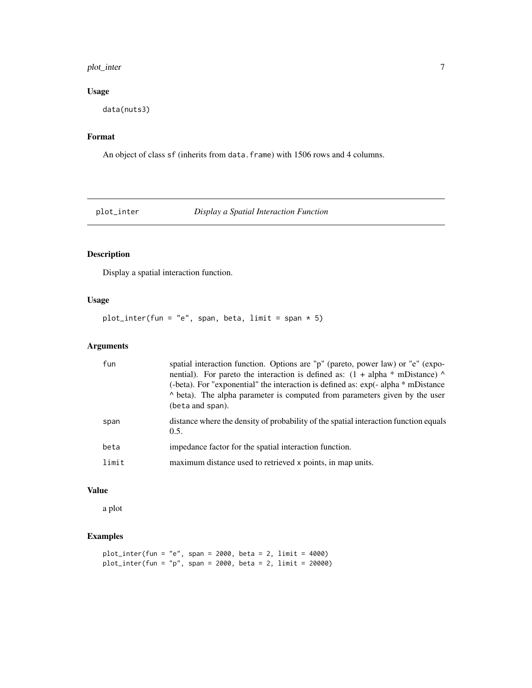#### <span id="page-6-0"></span>plot\_inter 7

# Usage

data(nuts3)

#### Format

An object of class sf (inherits from data.frame) with 1506 rows and 4 columns.

plot\_inter *Display a Spatial Interaction Function*

# Description

Display a spatial interaction function.

# Usage

plot\_inter(fun = "e", span, beta, limit = span \* 5)

## Arguments

| fun   | spatial interaction function. Options are "p" (pareto, power law) or "e" (expo-<br>nential). For pareto the interaction is defined as: $(1 + alpha * mDistance)$ ^<br>(-beta). For "exponential" the interaction is defined as: exp(-alpha * mDistance<br>beta). The alpha parameter is computed from parameters given by the user<br>(beta and span). |
|-------|--------------------------------------------------------------------------------------------------------------------------------------------------------------------------------------------------------------------------------------------------------------------------------------------------------------------------------------------------------|
| span  | distance where the density of probability of the spatial interaction function equals<br>0.5.                                                                                                                                                                                                                                                           |
| beta  | impedance factor for the spatial interaction function.                                                                                                                                                                                                                                                                                                 |
| limit | maximum distance used to retrieved x points, in map units.                                                                                                                                                                                                                                                                                             |

## Value

a plot

# Examples

plot\_inter(fun = "e", span = 2000, beta = 2, limit = 4000) plot\_inter(fun = "p", span = 2000, beta = 2, limit = 20000)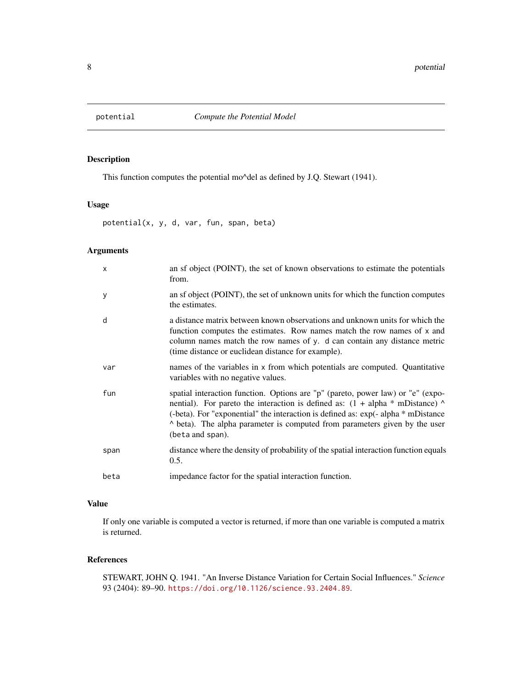<span id="page-7-0"></span>

This function computes the potential mo^del as defined by J.Q. Stewart (1941).

# Usage

potential(x, y, d, var, fun, span, beta)

# Arguments

| $\times$ | an sf object (POINT), the set of known observations to estimate the potentials<br>from.                                                                                                                                                                                                                                                                |
|----------|--------------------------------------------------------------------------------------------------------------------------------------------------------------------------------------------------------------------------------------------------------------------------------------------------------------------------------------------------------|
| У        | an sf object (POINT), the set of unknown units for which the function computes<br>the estimates.                                                                                                                                                                                                                                                       |
| d        | a distance matrix between known observations and unknown units for which the<br>function computes the estimates. Row names match the row names of x and<br>column names match the row names of y. d can contain any distance metric<br>(time distance or euclidean distance for example).                                                              |
| var      | names of the variables in x from which potentials are computed. Quantitative<br>variables with no negative values.                                                                                                                                                                                                                                     |
| fun      | spatial interaction function. Options are "p" (pareto, power law) or "e" (expo-<br>nential). For pareto the interaction is defined as: $(1 + alpha * mDistance)$ ^<br>(-beta). For "exponential" the interaction is defined as: exp(-alpha * mDistance<br>beta). The alpha parameter is computed from parameters given by the user<br>(beta and span). |
| span     | distance where the density of probability of the spatial interaction function equals<br>0.5.                                                                                                                                                                                                                                                           |
| beta     | impedance factor for the spatial interaction function.                                                                                                                                                                                                                                                                                                 |

# Value

If only one variable is computed a vector is returned, if more than one variable is computed a matrix is returned.

# References

STEWART, JOHN Q. 1941. "An Inverse Distance Variation for Certain Social Influences." *Science* 93 (2404): 89–90. <https://doi.org/10.1126/science.93.2404.89>.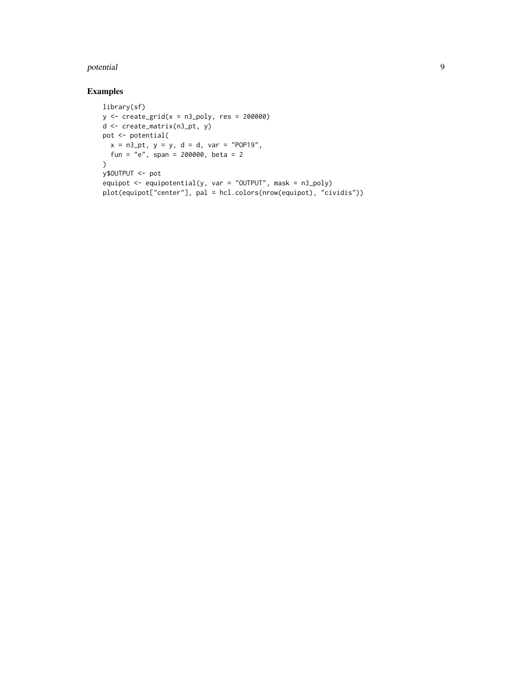#### potential and the contract of the contract of the contract of the contract of the contract of the contract of the contract of the contract of the contract of the contract of the contract of the contract of the contract of

```
library(sf)
y \leftarrow \text{create\_grid}(x = n3\_poly, \text{res} = 200000)d <- create_matrix(n3_pt, y)
pot <- potential(
  x = n3_{p}t, y = y, d = d, var = "POP19",fun = "e", span = 200000, beta = 2
\mathcal{L}y$OUTPUT <- pot
equipot <- equipotential(y, var = "OUTPUT", mask = n3_poly)
plot(equipot["center"], pal = hcl.colors(nrow(equipot), "cividis"))
```